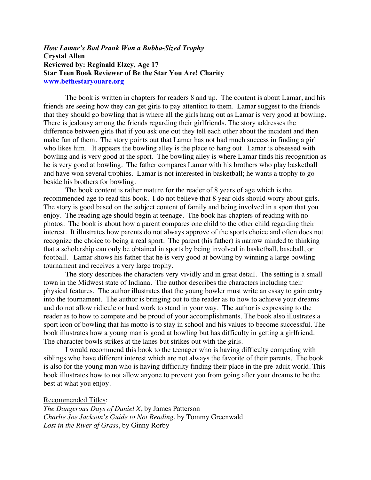## *How Lamar's Bad Prank Won a Bubba-Sized Trophy* **Crystal Allen Reviewed by: Reginald Elzey, Age 17 Star Teen Book Reviewer of Be the Star You Are! Charity www.bethestaryouare.org**

The book is written in chapters for readers 8 and up. The content is about Lamar, and his friends are seeing how they can get girls to pay attention to them. Lamar suggest to the friends that they should go bowling that is where all the girls hang out as Lamar is very good at bowling. There is jealousy among the friends regarding their girlfriends. The story addresses the difference between girls that if you ask one out they tell each other about the incident and then make fun of them. The story points out that Lamar has not had much success in finding a girl who likes him. It appears the bowling alley is the place to hang out. Lamar is obsessed with bowling and is very good at the sport. The bowling alley is where Lamar finds his recognition as he is very good at bowling. The father compares Lamar with his brothers who play basketball and have won several trophies. Lamar is not interested in basketball; he wants a trophy to go beside his brothers for bowling.

The book content is rather mature for the reader of 8 years of age which is the recommended age to read this book. I do not believe that 8 year olds should worry about girls. The story is good based on the subject content of family and being involved in a sport that you enjoy. The reading age should begin at teenage. The book has chapters of reading with no photos. The book is about how a parent compares one child to the other child regarding their interest. It illustrates how parents do not always approve of the sports choice and often does not recognize the choice to being a real sport. The parent (his father) is narrow minded to thinking that a scholarship can only be obtained in sports by being involved in basketball, baseball, or football. Lamar shows his father that he is very good at bowling by winning a large bowling tournament and receives a very large trophy.

The story describes the characters very vividly and in great detail. The setting is a small town in the Midwest state of Indiana. The author describes the characters including their physical features. The author illustrates that the young bowler must write an essay to gain entry into the tournament. The author is bringing out to the reader as to how to achieve your dreams and do not allow ridicule or hard work to stand in your way. The author is expressing to the reader as to how to compete and be proud of your accomplishments. The book also illustrates a sport icon of bowling that his motto is to stay in school and his values to become successful. The book illustrates how a young man is good at bowling but has difficulty in getting a girlfriend. The character bowls strikes at the lanes but strikes out with the girls.

I would recommend this book to the teenager who is having difficulty competing with siblings who have different interest which are not always the favorite of their parents. The book is also for the young man who is having difficulty finding their place in the pre-adult world. This book illustrates how to not allow anyone to prevent you from going after your dreams to be the best at what you enjoy.

Recommended Titles:

*The Dangerous Days of Daniel X*, by James Patterson *Charlie Joe Jackson's Guide to Not Reading*, by Tommy Greenwald *Lost in the River of Grass*, by Ginny Rorby